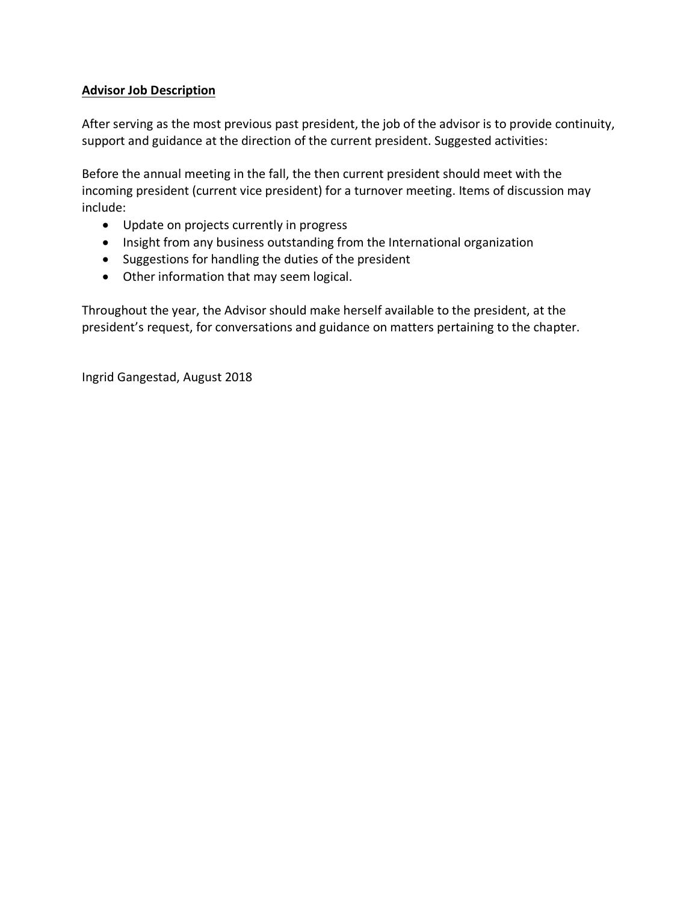## **Advisor Job Description**

After serving as the most previous past president, the job of the advisor is to provide continuity, support and guidance at the direction of the current president. Suggested activities:

Before the annual meeting in the fall, the then current president should meet with the incoming president (current vice president) for a turnover meeting. Items of discussion may include:

- Update on projects currently in progress
- Insight from any business outstanding from the International organization
- Suggestions for handling the duties of the president
- Other information that may seem logical.

Throughout the year, the Advisor should make herself available to the president, at the president's request, for conversations and guidance on matters pertaining to the chapter.

Ingrid Gangestad, August 2018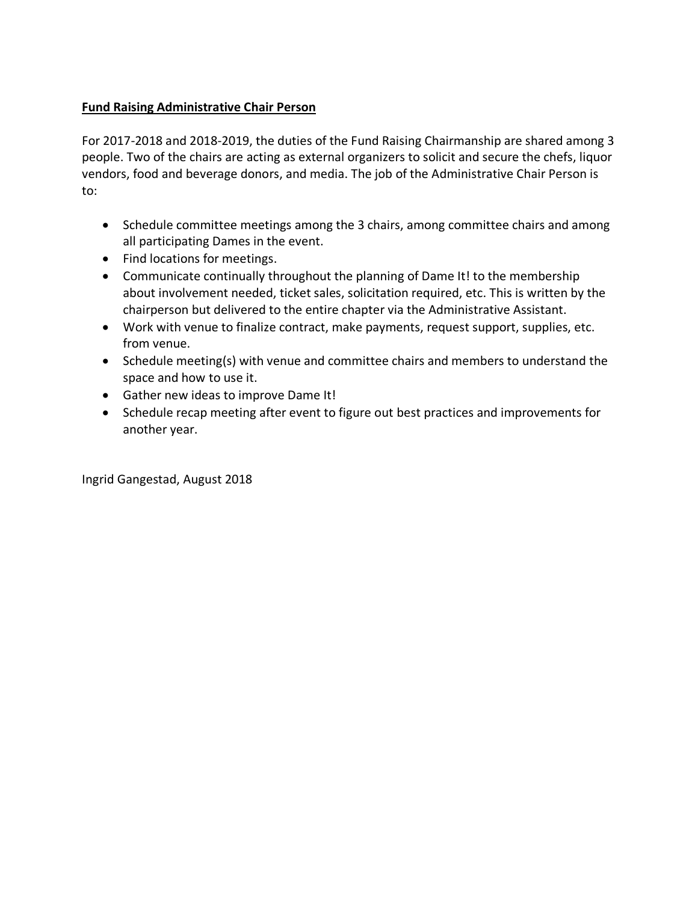## **Fund Raising Administrative Chair Person**

For 2017-2018 and 2018-2019, the duties of the Fund Raising Chairmanship are shared among 3 people. Two of the chairs are acting as external organizers to solicit and secure the chefs, liquor vendors, food and beverage donors, and media. The job of the Administrative Chair Person is to:

- Schedule committee meetings among the 3 chairs, among committee chairs and among all participating Dames in the event.
- Find locations for meetings.
- Communicate continually throughout the planning of Dame It! to the membership about involvement needed, ticket sales, solicitation required, etc. This is written by the chairperson but delivered to the entire chapter via the Administrative Assistant.
- Work with venue to finalize contract, make payments, request support, supplies, etc. from venue.
- Schedule meeting(s) with venue and committee chairs and members to understand the space and how to use it.
- Gather new ideas to improve Dame It!
- Schedule recap meeting after event to figure out best practices and improvements for another year.

Ingrid Gangestad, August 2018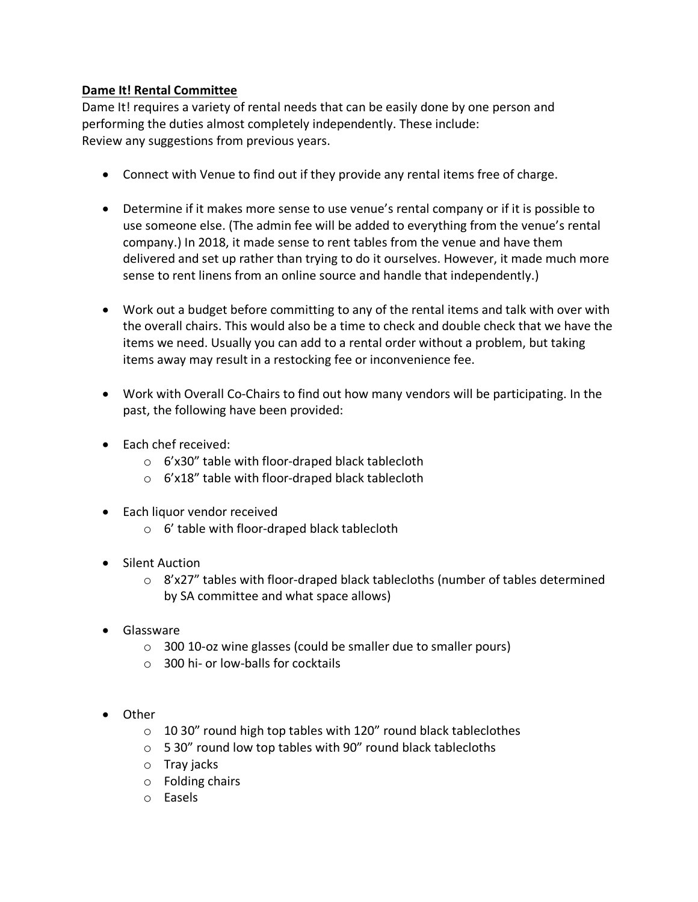## **Dame It! Rental Committee**

Dame It! requires a variety of rental needs that can be easily done by one person and performing the duties almost completely independently. These include: Review any suggestions from previous years.

- Connect with Venue to find out if they provide any rental items free of charge.
- Determine if it makes more sense to use venue's rental company or if it is possible to use someone else. (The admin fee will be added to everything from the venue's rental company.) In 2018, it made sense to rent tables from the venue and have them delivered and set up rather than trying to do it ourselves. However, it made much more sense to rent linens from an online source and handle that independently.)
- Work out a budget before committing to any of the rental items and talk with over with the overall chairs. This would also be a time to check and double check that we have the items we need. Usually you can add to a rental order without a problem, but taking items away may result in a restocking fee or inconvenience fee.
- Work with Overall Co-Chairs to find out how many vendors will be participating. In the past, the following have been provided:
- Each chef received:
	- o 6'x30" table with floor-draped black tablecloth
	- o 6'x18" table with floor-draped black tablecloth
- Each liquor vendor received
	- o 6' table with floor-draped black tablecloth
- Silent Auction
	- $\circ$  8'x27" tables with floor-draped black tablecloths (number of tables determined by SA committee and what space allows)
- Glassware
	- o 300 10-oz wine glasses (could be smaller due to smaller pours)
	- o 300 hi- or low-balls for cocktails
- Other
	- $\circ$  10 30" round high top tables with 120" round black tableclothes
	- $\circ$  5 30" round low top tables with 90" round black tablecloths
	- o Tray jacks
	- o Folding chairs
	- o Easels